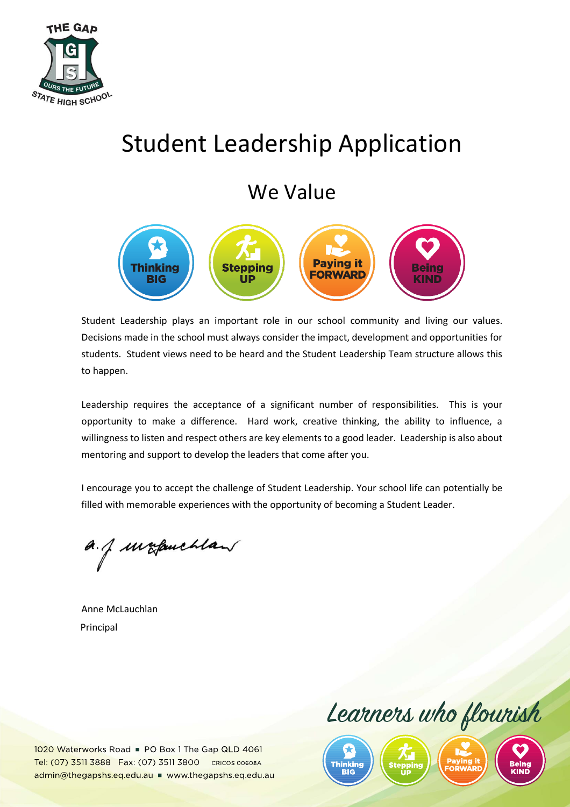

## Student Leadership Application

## We Value



Student Leadership plays an important role in our school community and living our values. Decisions made in the school must always consider the impact, development and opportunities for students. Student views need to be heard and the Student Leadership Team structure allows this to happen.

Leadership requires the acceptance of a significant number of responsibilities. This is your opportunity to make a difference. Hard work, creative thinking, the ability to influence, a willingness to listen and respect others are key elements to a good leader. Leadership is also about mentoring and support to develop the leaders that come after you.

I encourage you to accept the challenge of Student Leadership. Your school life can potentially be filled with memorable experiences with the opportunity of becoming a Student Leader.

a. J majauchlan

Anne McLauchlan Principal



1020 Waterworks Road · PO Box 1 The Gap QLD 4061 Tel: (07) 3511 3888 Fax: (07) 3511 3800 CRICOS 00608A admin@thegapshs.eq.edu.au www.thegapshs.eq.edu.au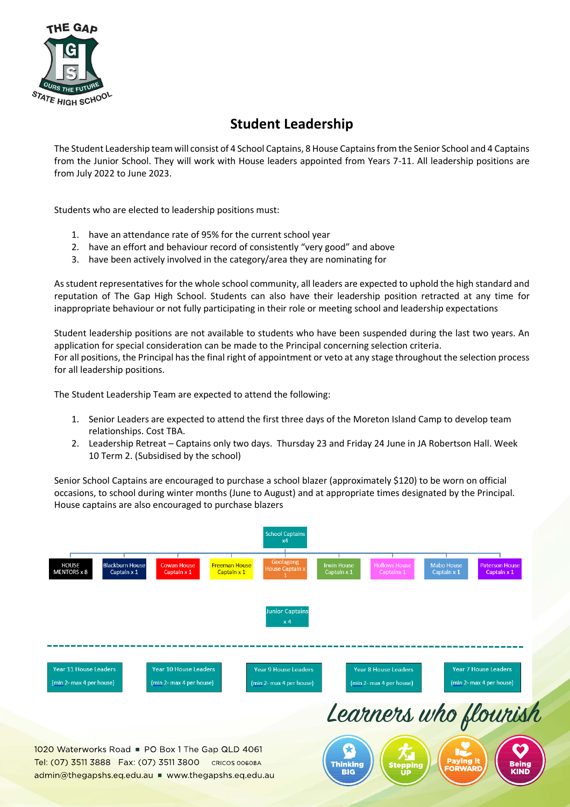

## **Student Leadership**

The Student Leadership team will consist of 4 School Captains, 8 House Captains from the Senior School and 4 Captains from the Junior School. They will work with House leaders appointed from Years 7-11. All leadership positions are from July 2022 to June 2023.

Students who are elected to leadership positions must:

- 1. have an attendance rate of 95% for the current school year
- 2. have an effort and behaviour record of consistently "very good" and above
- 3. have been actively involved in the category/area they are nominating for

As student representatives for the whole school community, all leaders are expected to uphold the high standard and reputation of The Gap High School. Students can also have their leadership position retracted at any time for inappropriate behaviour or not fully participating in their role or meeting school and leadership expectations

Student leadership positions are not available to students who have been suspended during the last two years. An application for special consideration can be made to the Principal concerning selection criteria. For all positions, the Principal has the final right of appointment or veto at any stage throughout the selection process for all leadership positions.

The Student Leadership Team are expected to attend the following:

- 1. Senior Leaders are expected to attend the first three days of the Moreton Island Camp to develop team relationships. Cost TBA.
- 2. Leadership Retreat Captains only two days. Thursday 23 and Friday 24 June in JA Robertson Hall. Week 10 Term 2. (Subsidised by the school)

Senior School Captains are encouraged to purchase a school blazer (approximately \$120) to be worn on official occasions, to school during winter months (June to August) and at appropriate times designated by the Principal. House captains are also encouraged to purchase blazers

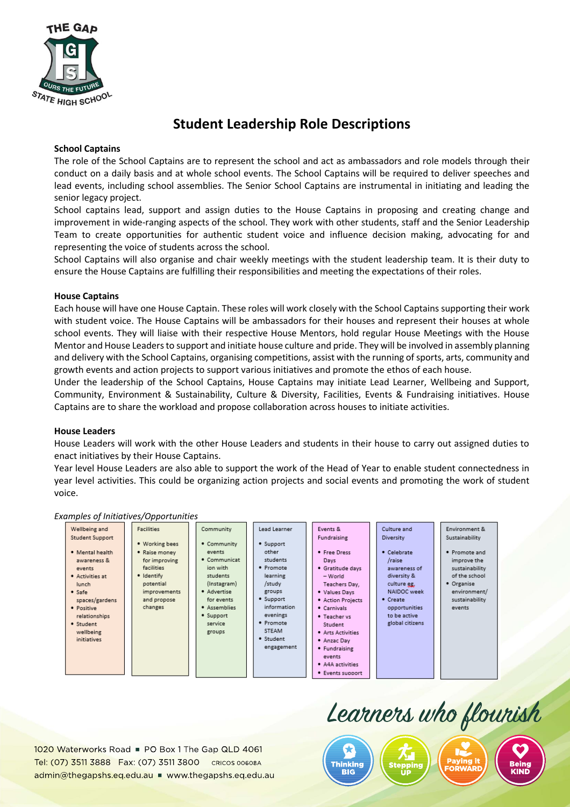

### **Student Leadership Role Descriptions**

#### **School Captains**

The role of the School Captains are to represent the school and act as ambassadors and role models through their conduct on a daily basis and at whole school events. The School Captains will be required to deliver speeches and lead events, including school assemblies. The Senior School Captains are instrumental in initiating and leading the senior legacy project.

School captains lead, support and assign duties to the House Captains in proposing and creating change and improvement in wide-ranging aspects of the school. They work with other students, staff and the Senior Leadership Team to create opportunities for authentic student voice and influence decision making, advocating for and representing the voice of students across the school.

School Captains will also organise and chair weekly meetings with the student leadership team. It is their duty to ensure the House Captains are fulfilling their responsibilities and meeting the expectations of their roles.

#### **House Captains**

Each house will have one House Captain. These roles will work closely with the School Captains supporting their work with student voice. The House Captains will be ambassadors for their houses and represent their houses at whole school events. They will liaise with their respective House Mentors, hold regular House Meetings with the House Mentor and House Leaders to support and initiate house culture and pride. They will be involved in assembly planning and delivery with the School Captains, organising competitions, assist with the running of sports, arts, community and growth events and action projects to support various initiatives and promote the ethos of each house.

Under the leadership of the School Captains, House Captains may initiate Lead Learner, Wellbeing and Support, Community, Environment & Sustainability, Culture & Diversity, Facilities, Events & Fundraising initiatives. House Captains are to share the workload and propose collaboration across houses to initiate activities.

#### **House Leaders**

House Leaders will work with the other House Leaders and students in their house to carry out assigned duties to enact initiatives by their House Captains.

Year level House Leaders are also able to support the work of the Head of Year to enable student connectedness in year level activities. This could be organizing action projects and social events and promoting the work of student voice.

| Wellbeing and<br>Student Support<br>· Mental health<br>awareness &<br>events<br>• Activities at<br>lunch<br>• Safe<br>spaces/gardens<br>• Positive<br>relationships<br>• Student<br>wellbeing<br>initiatives | <b>Facilities</b><br>• Working bees<br>• Raise money<br>for improving<br>facilities<br>· Identify<br>potential<br>improvements<br>and propose<br>changes | Community<br>• Community<br>events<br>• Communicat<br>ion with<br>students<br>(Instagram)<br>• Advertise<br>for events<br>• Assemblies<br>• Support<br>service<br>groups | Lead Learner<br>• Support<br>other<br>students<br>• Promote<br>learning<br>/study<br>groups<br>• Support<br>information<br>evenings<br>• Promote<br>STEAM<br>• Student<br>engagement | Events &<br>Fundraising<br>• Free Dress<br>Days<br>• Gratitude days<br>- World<br>Teachers Day,<br>• Values Days<br>• Action Projects<br>• Carnivals<br>• Teacher vs<br>Student<br>· Arts Activities<br>· Anzac Day<br>• Fundraising<br>events<br>• A4A activities<br>• Events support | Culture and<br>Diversity<br>• Celebrate<br>/raise<br>awareness of<br>diversity &<br>culture eg.<br>NAIDOC week<br>• Create<br>opportunities<br>to be active<br>global citizens | Environment &<br>Sustainability<br>• Promote and<br>improve the<br>sustainability<br>of the school<br>• Organise<br>environment/<br>sustainability<br>events |  |
|--------------------------------------------------------------------------------------------------------------------------------------------------------------------------------------------------------------|----------------------------------------------------------------------------------------------------------------------------------------------------------|--------------------------------------------------------------------------------------------------------------------------------------------------------------------------|--------------------------------------------------------------------------------------------------------------------------------------------------------------------------------------|----------------------------------------------------------------------------------------------------------------------------------------------------------------------------------------------------------------------------------------------------------------------------------------|--------------------------------------------------------------------------------------------------------------------------------------------------------------------------------|--------------------------------------------------------------------------------------------------------------------------------------------------------------|--|
|--------------------------------------------------------------------------------------------------------------------------------------------------------------------------------------------------------------|----------------------------------------------------------------------------------------------------------------------------------------------------------|--------------------------------------------------------------------------------------------------------------------------------------------------------------------------|--------------------------------------------------------------------------------------------------------------------------------------------------------------------------------------|----------------------------------------------------------------------------------------------------------------------------------------------------------------------------------------------------------------------------------------------------------------------------------------|--------------------------------------------------------------------------------------------------------------------------------------------------------------------------------|--------------------------------------------------------------------------------------------------------------------------------------------------------------|--|

*Examples of Initiatives/Opportunities*

# Learners who flourish

1020 Waterworks Road PO Box 1 The Gap QLD 4061 Tel: (07) 3511 3888 Fax: (07) 3511 3800 CRICOS 00608A admin@thegapshs.eq.edu.au www.thegapshs.eq.edu.au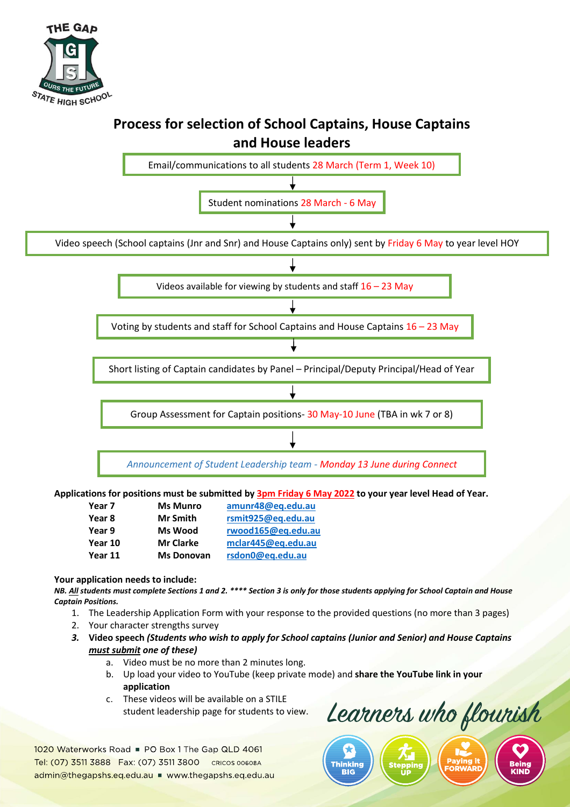

## **Process for selection of School Captains, House Captains and House leaders**



**Applications for positions must be submitted by 3pm Friday 6 May 2022 to your year level Head of Year.** 

| Year 7  | <b>Ms Munro</b>   | amunr48@eq.edu.au  |
|---------|-------------------|--------------------|
| Year 8  | <b>Mr Smith</b>   | rsmit925@eq.edu.au |
| Year 9  | <b>Ms Wood</b>    | rwood165@eq.edu.au |
| Year 10 | <b>Mr Clarke</b>  | mclar445@eq.edu.au |
| Year 11 | <b>Ms Donovan</b> | rsdon0@eq.edu.au   |

#### **Your application needs to include:**

*NB. All students must complete Sections 1 and 2. \*\*\*\* Section 3 is only for those students applying for School Captain and House Captain Positions.* 

- 1. The Leadership Application Form with your response to the provided questions (no more than 3 pages)
- 2. Your character strengths survey
- *3.* **Video speech** *(Students who wish to apply for School captains (Junior and Senior) and House Captains must submit one of these)*
	- a. Video must be no more than 2 minutes long.
	- b. Up load your video to YouTube (keep private mode) and **share the YouTube link in your application**

Thinking

c. These videos will be available on a STILE student leadership page for students to view.

Learners who flourish

1020 Waterworks Road PO Box 1 The Gap QLD 4061 Tel: (07) 3511 3888 Fax: (07) 3511 3800 CRICOS 00608A admin@thegapshs.eq.edu.au www.thegapshs.eq.edu.au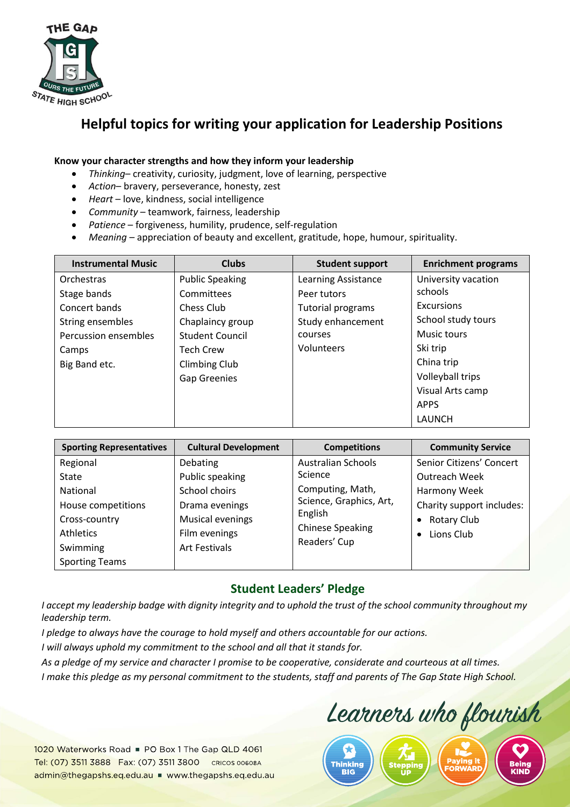

## **Helpful topics for writing your application for Leadership Positions**

#### **Know your character strengths and how they inform your leadership**

- *Thinking* creativity, curiosity, judgment, love of learning, perspective
- *Action* bravery, perseverance, honesty, zest
- *Heart* love, kindness, social intelligence
- *Community* teamwork, fairness, leadership
- *Patience* forgiveness, humility, prudence, self-regulation
- *Meaning* appreciation of beauty and excellent, gratitude, hope, humour, spirituality.

| <b>Instrumental Music</b> | <b>Clubs</b>           | <b>Student support</b> | <b>Enrichment programs</b> |
|---------------------------|------------------------|------------------------|----------------------------|
| Orchestras                | <b>Public Speaking</b> | Learning Assistance    | University vacation        |
| Stage bands               | Committees             | Peer tutors            | schools                    |
| Concert bands             | Chess Club             | Tutorial programs      | Excursions                 |
| String ensembles          | Chaplaincy group       | Study enhancement      | School study tours         |
| Percussion ensembles      | <b>Student Council</b> | courses                | Music tours                |
| Camps                     | <b>Tech Crew</b>       | Volunteers             | Ski trip                   |
| Big Band etc.             | Climbing Club          |                        | China trip                 |
|                           | <b>Gap Greenies</b>    |                        | Volleyball trips           |
|                           |                        |                        | Visual Arts camp           |
|                           |                        |                        | <b>APPS</b>                |
|                           |                        |                        | <b>LAUNCH</b>              |

| <b>Sporting Representatives</b>                                      | <b>Cultural Development</b>                                                        | <b>Competitions</b>                                                                                                              | <b>Community Service</b>                                                                                                  |
|----------------------------------------------------------------------|------------------------------------------------------------------------------------|----------------------------------------------------------------------------------------------------------------------------------|---------------------------------------------------------------------------------------------------------------------------|
| Regional<br>State<br>National<br>House competitions<br>Cross-country | Debating<br>Public speaking<br>School choirs<br>Drama evenings<br>Musical evenings | <b>Australian Schools</b><br><b>Science</b><br>Computing, Math,<br>Science, Graphics, Art,<br>English<br><b>Chinese Speaking</b> | Senior Citizens' Concert<br>Outreach Week<br>Harmony Week<br>Charity support includes:<br><b>Rotary Club</b><br>$\bullet$ |
| <b>Athletics</b><br>Swimming<br><b>Sporting Teams</b>                | Film evenings<br><b>Art Festivals</b>                                              | Readers' Cup                                                                                                                     | Lions Club<br>$\bullet$                                                                                                   |

### **Student Leaders' Pledge**

*I accept my leadership badge with dignity integrity and to uphold the trust of the school community throughout my leadership term.*

*I pledge to always have the courage to hold myself and others accountable for our actions.*

*I will always uphold my commitment to the school and all that it stands for.*

*As a pledge of my service and character I promise to be cooperative, considerate and courteous at all times. I make this pledge as my personal commitment to the students, staff and parents of The Gap State High School.*

Learners who flourish

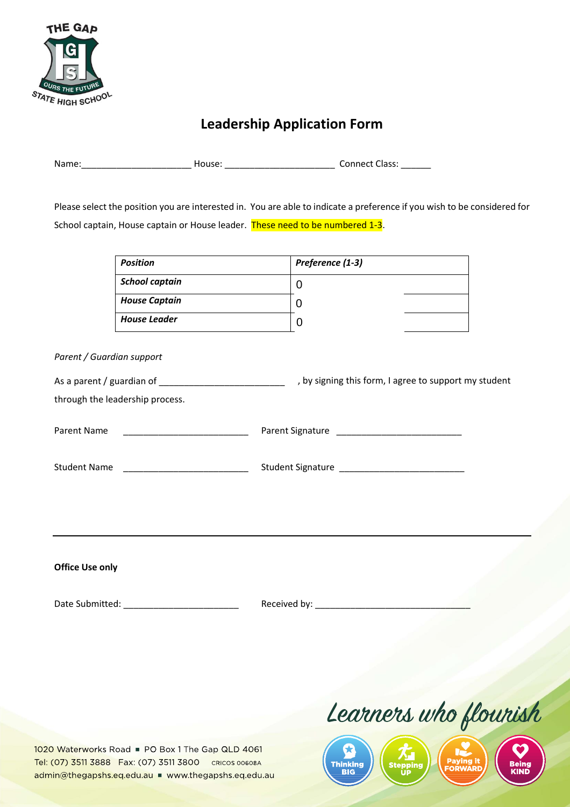

## **Leadership Application Form**

| Name: | House: | <b>Connect Class:</b> |
|-------|--------|-----------------------|
|       |        |                       |

Please select the position you are interested in. You are able to indicate a preference if you wish to be considered for School captain, House captain or House leader. These need to be numbered 1-3.

|                                                                                    | <b>Position</b>                 | Preference (1-3)                                 |  |  |
|------------------------------------------------------------------------------------|---------------------------------|--------------------------------------------------|--|--|
|                                                                                    | <b>School captain</b>           | $\overline{0}$                                   |  |  |
|                                                                                    | <b>House Captain</b>            | $\Omega$                                         |  |  |
|                                                                                    | <b>House Leader</b>             | $\mathbf 0$                                      |  |  |
| Parent / Guardian support<br>, by signing this form, I agree to support my student |                                 |                                                  |  |  |
|                                                                                    | through the leadership process. |                                                  |  |  |
|                                                                                    |                                 |                                                  |  |  |
| Parent Name                                                                        |                                 |                                                  |  |  |
| <b>Student Name</b>                                                                |                                 | Student Signature ______________________________ |  |  |
|                                                                                    |                                 |                                                  |  |  |
| <b>Office Use only</b>                                                             |                                 |                                                  |  |  |
|                                                                                    |                                 |                                                  |  |  |

1020 Waterworks Road · PO Box 1 The Gap QLD 4061 Tel: (07) 3511 3888 Fax: (07) 3511 3800 CRICOS 00608A admin@thegapshs.eq.edu.au vww.thegapshs.eq.edu.au

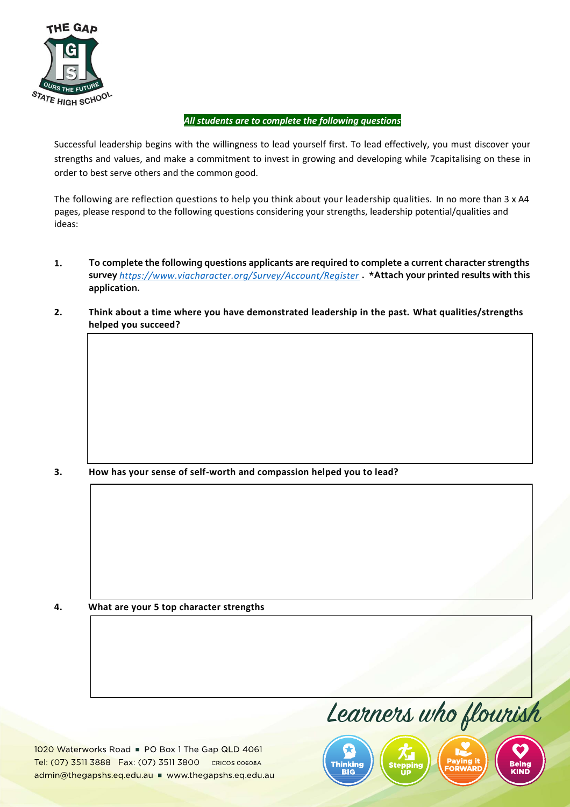

#### *All students are to complete the following questions*

Successful leadership begins with the willingness to lead yourself first. To lead effectively, you must discover your strengths and values, and make a commitment to invest in growing and developing while 7capitalising on these in order to best serve others and the common good.

The following are reflection questions to help you think about your leadership qualities. In no more than 3 x A4 pages, please respond to the following questions considering your strengths, leadership potential/qualities and ideas:

- **1. To complete the following questions applicants are required to complete a current character strengths survey** *<https://www.viacharacter.org/Survey/Account/Register>* **. \*Attach your printed results with this application.**
- **2. Think about a time where you have demonstrated leadership in the past. What qualities/strengths helped you succeed?**

**3. How has your sense of self-worth and compassion helped you to lead?**

**4. What are your 5 top character strengths**

1020 Waterworks Road PO Box 1 The Gap QLD 4061 Tel: (07) 3511 3888 Fax: (07) 3511 3800 CRICOS 00608A admin@thegapshs.eq.edu.au www.thegapshs.eq.edu.au

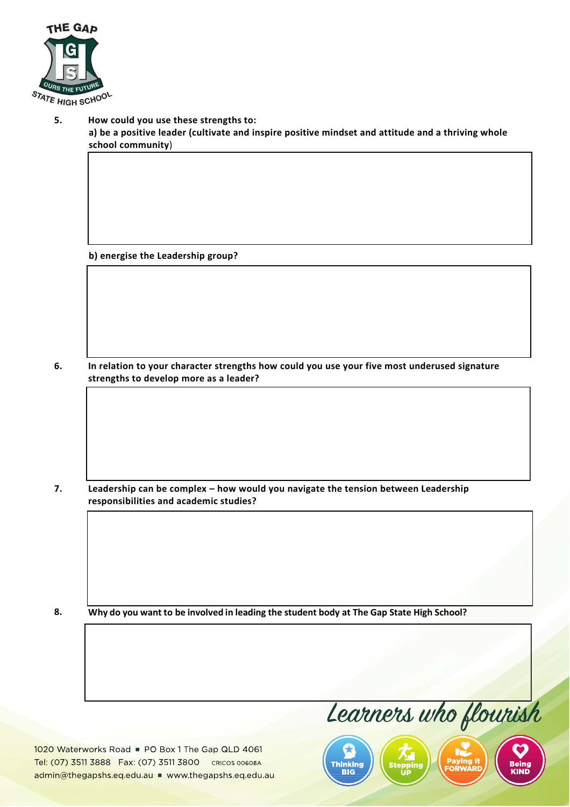

**5. How could you use these strengths to: a) be a positive leader (cultivate and inspire positive mindset and attitude and a thriving whole school community**)

**b) energise the Leadership group?**

**6. In relation to your character strengths how could you use your five most underused signature strengths to develop more as a leader?**

**7. Leadership can be complex – how would you navigate the tension between Leadership responsibilities and academic studies?**

**8. Why do you want to be involved in leading the student body at The Gap State High School?**

1020 Waterworks Road · PO Box 1 The Gap QLD 4061 Tel: (07) 3511 3888 Fax: (07) 3511 3800 CRICOS 00608A admin@thegapshs.eq.edu.au vww.thegapshs.eq.edu.au

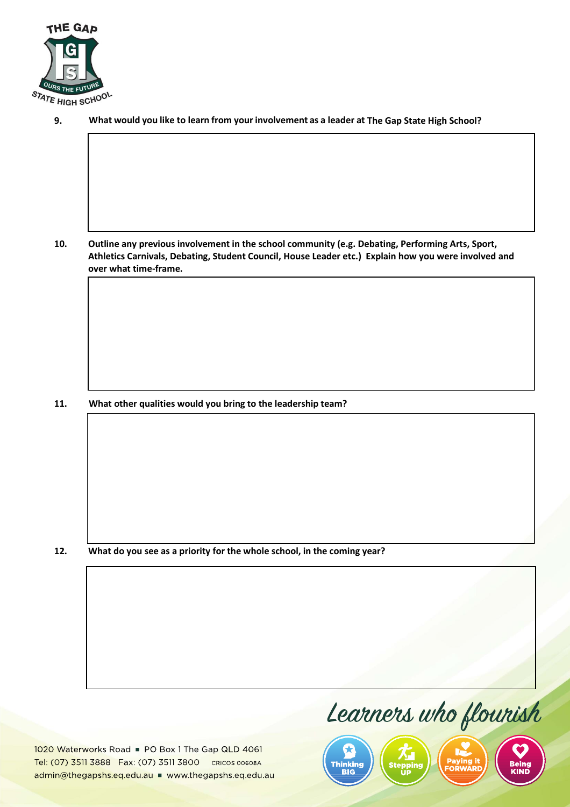

**9. What would you like to learn from your involvement as a leader at The Gap State High School?**

**10. Outline any previous involvement in the school community (e.g. Debating, Performing Arts, Sport, Athletics Carnivals, Debating, Student Council, House Leader etc.) Explain how you were involved and over what time-frame.**

**11. What other qualities would you bring to the leadership team?**

**12. What do you see as a priority for the whole school, in the coming year?**

1020 Waterworks Road PO Box 1 The Gap QLD 4061 Tel: (07) 3511 3888 Fax: (07) 3511 3800 CRICOS 00608A admin@thegapshs.eq.edu.au vww.thegapshs.eq.edu.au